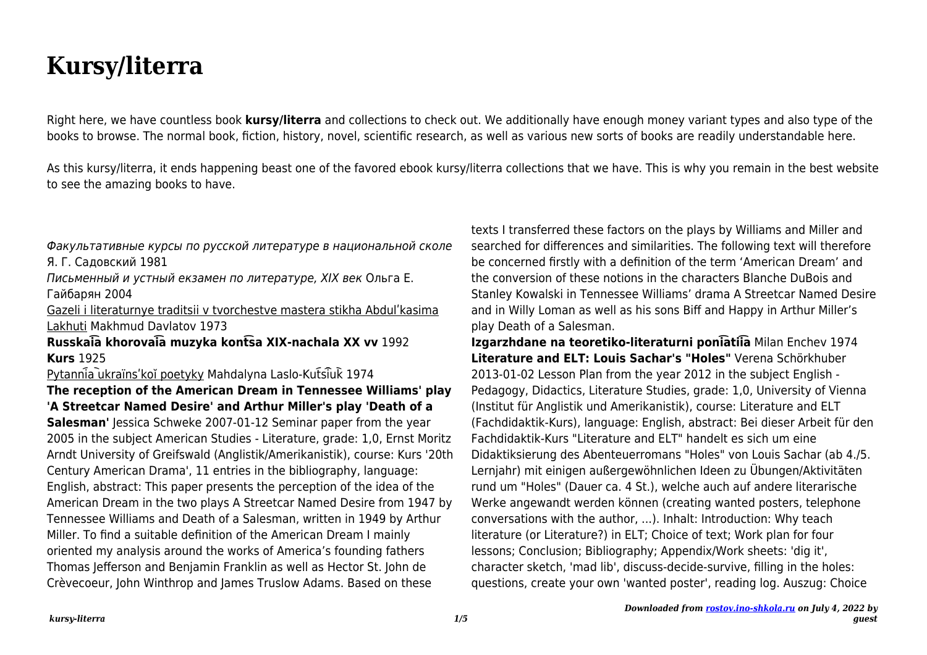## **Kursy/literra**

Right here, we have countless book **kursy/literra** and collections to check out. We additionally have enough money variant types and also type of the books to browse. The normal book, fiction, history, novel, scientific research, as well as various new sorts of books are readily understandable here.

As this kursy/literra, it ends happening beast one of the favored ebook kursy/literra collections that we have. This is why you remain in the best website to see the amazing books to have.

Факультативные курсы по русской литературе в национальной сколе Я. Г. Садовский 1981

Письменный и устный екзамен по литературе, XIX век Ольга Е. Гайбарян 2004

Gazeli i literaturnye traditsii v tvorchestve mastera stikha Abdulʹkasima Lakhuti Makhmud Davlatov 1973

**Russkai͡a khorovai͡a muzyka kont͡sa XIX-nachala XX vv** 1992 **Kurs** 1925

Pytannia ukraïns'koĭ poetyky Mahdalyna Laslo-Kutsiuk 1974

**The reception of the American Dream in Tennessee Williams' play 'A Streetcar Named Desire' and Arthur Miller's play 'Death of a**

**Salesman'** Jessica Schweke 2007-01-12 Seminar paper from the year 2005 in the subject American Studies - Literature, grade: 1,0, Ernst Moritz Arndt University of Greifswald (Anglistik/Amerikanistik), course: Kurs '20th Century American Drama', 11 entries in the bibliography, language: English, abstract: This paper presents the perception of the idea of the American Dream in the two plays A Streetcar Named Desire from 1947 by Tennessee Williams and Death of a Salesman, written in 1949 by Arthur Miller. To find a suitable definition of the American Dream I mainly oriented my analysis around the works of America's founding fathers Thomas Jefferson and Benjamin Franklin as well as Hector St. John de Crèvecoeur, John Winthrop and James Truslow Adams. Based on these

texts I transferred these factors on the plays by Williams and Miller and searched for differences and similarities. The following text will therefore be concerned firstly with a definition of the term 'American Dream' and the conversion of these notions in the characters Blanche DuBois and Stanley Kowalski in Tennessee Williams' drama A Streetcar Named Desire and in Willy Loman as well as his sons Biff and Happy in Arthur Miller's play Death of a Salesman.

**Izgarzhdane na teoretiko-literaturni poni͡atii͡a** Milan Enchev 1974 **Literature and ELT: Louis Sachar's "Holes"** Verena Schörkhuber 2013-01-02 Lesson Plan from the year 2012 in the subject English - Pedagogy, Didactics, Literature Studies, grade: 1,0, University of Vienna (Institut für Anglistik und Amerikanistik), course: Literature and ELT (Fachdidaktik-Kurs), language: English, abstract: Bei dieser Arbeit für den Fachdidaktik-Kurs "Literature and ELT" handelt es sich um eine Didaktiksierung des Abenteuerromans "Holes" von Louis Sachar (ab 4./5. Lernjahr) mit einigen außergewöhnlichen Ideen zu Übungen/Aktivitäten rund um "Holes" (Dauer ca. 4 St.), welche auch auf andere literarische Werke angewandt werden können (creating wanted posters, telephone conversations with the author, ...). Inhalt: Introduction: Why teach literature (or Literature?) in ELT; Choice of text; Work plan for four lessons; Conclusion; Bibliography; Appendix/Work sheets: 'dig it', character sketch, 'mad lib', discuss-decide-survive, filling in the holes: questions, create your own 'wanted poster', reading log. Auszug: Choice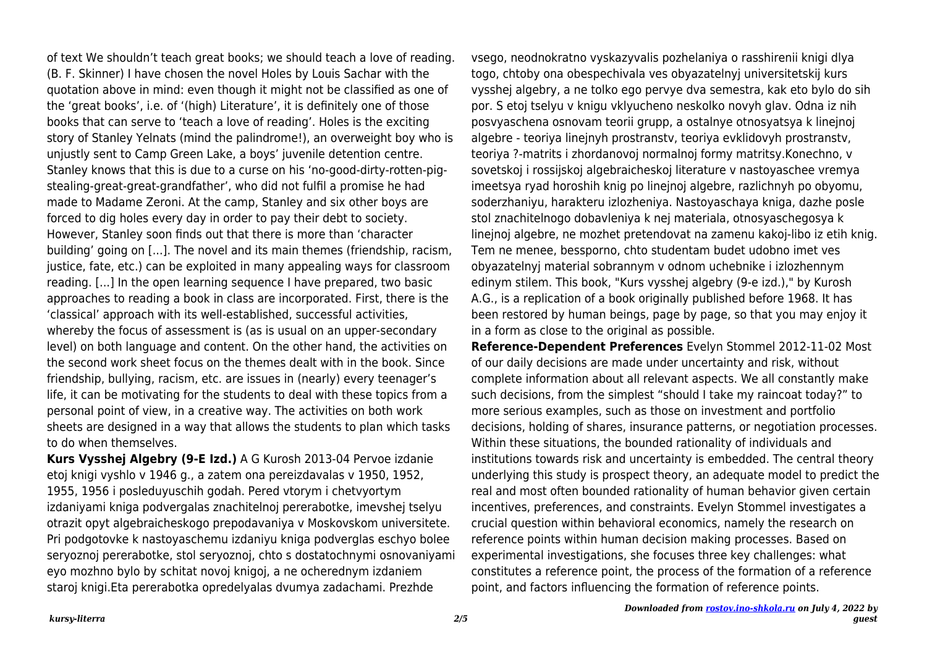of text We shouldn't teach great books; we should teach a love of reading. (B. F. Skinner) I have chosen the novel Holes by Louis Sachar with the quotation above in mind: even though it might not be classified as one of the 'great books', i.e. of '(high) Literature', it is definitely one of those books that can serve to 'teach a love of reading'. Holes is the exciting story of Stanley Yelnats (mind the palindrome!), an overweight boy who is unjustly sent to Camp Green Lake, a boys' juvenile detention centre. Stanley knows that this is due to a curse on his 'no-good-dirty-rotten-pigstealing-great-great-grandfather', who did not fulfil a promise he had made to Madame Zeroni. At the camp, Stanley and six other boys are forced to dig holes every day in order to pay their debt to society. However, Stanley soon finds out that there is more than 'character building' going on [...]. The novel and its main themes (friendship, racism, justice, fate, etc.) can be exploited in many appealing ways for classroom reading. [...] In the open learning sequence I have prepared, two basic approaches to reading a book in class are incorporated. First, there is the 'classical' approach with its well-established, successful activities, whereby the focus of assessment is (as is usual on an upper-secondary level) on both language and content. On the other hand, the activities on the second work sheet focus on the themes dealt with in the book. Since friendship, bullying, racism, etc. are issues in (nearly) every teenager's life, it can be motivating for the students to deal with these topics from a personal point of view, in a creative way. The activities on both work sheets are designed in a way that allows the students to plan which tasks to do when themselves.

**Kurs Vysshej Algebry (9-E Izd.)** A G Kurosh 2013-04 Pervoe izdanie etoj knigi vyshlo v 1946 g., a zatem ona pereizdavalas v 1950, 1952, 1955, 1956 i posleduyuschih godah. Pered vtorym i chetvyortym izdaniyami kniga podvergalas znachitelnoj pererabotke, imevshej tselyu otrazit opyt algebraicheskogo prepodavaniya v Moskovskom universitete. Pri podgotovke k nastoyaschemu izdaniyu kniga podverglas eschyo bolee seryoznoj pererabotke, stol seryoznoj, chto s dostatochnymi osnovaniyami eyo mozhno bylo by schitat novoj knigoj, a ne ocherednym izdaniem staroj knigi.Eta pererabotka opredelyalas dvumya zadachami. Prezhde

vsego, neodnokratno vyskazyvalis pozhelaniya o rasshirenii knigi dlya togo, chtoby ona obespechivala ves obyazatelnyj universitetskij kurs vysshej algebry, a ne tolko ego pervye dva semestra, kak eto bylo do sih por. S etoj tselyu v knigu vklyucheno neskolko novyh glav. Odna iz nih posvyaschena osnovam teorii grupp, a ostalnye otnosyatsya k linejnoj algebre - teoriya linejnyh prostranstv, teoriya evklidovyh prostranstv, teoriya ?-matrits i zhordanovoj normalnoj formy matritsy.Konechno, v sovetskoj i rossijskoj algebraicheskoj literature v nastoyaschee vremya imeetsya ryad horoshih knig po linejnoj algebre, razlichnyh po obyomu, soderzhaniyu, harakteru izlozheniya. Nastoyaschaya kniga, dazhe posle stol znachitelnogo dobavleniya k nej materiala, otnosyaschegosya k linejnoj algebre, ne mozhet pretendovat na zamenu kakoj-libo iz etih knig. Tem ne menee, bessporno, chto studentam budet udobno imet ves obyazatelnyj material sobrannym v odnom uchebnike i izlozhennym edinym stilem. This book, "Kurs vysshej algebry (9-e izd.)," by Kurosh A.G., is a replication of a book originally published before 1968. It has been restored by human beings, page by page, so that you may enjoy it in a form as close to the original as possible.

**Reference-Dependent Preferences** Evelyn Stommel 2012-11-02 Most of our daily decisions are made under uncertainty and risk, without complete information about all relevant aspects. We all constantly make such decisions, from the simplest "should I take my raincoat today?" to more serious examples, such as those on investment and portfolio decisions, holding of shares, insurance patterns, or negotiation processes. Within these situations, the bounded rationality of individuals and institutions towards risk and uncertainty is embedded. The central theory underlying this study is prospect theory, an adequate model to predict the real and most often bounded rationality of human behavior given certain incentives, preferences, and constraints. Evelyn Stommel investigates a crucial question within behavioral economics, namely the research on reference points within human decision making processes. Based on experimental investigations, she focuses three key challenges: what constitutes a reference point, the process of the formation of a reference point, and factors influencing the formation of reference points.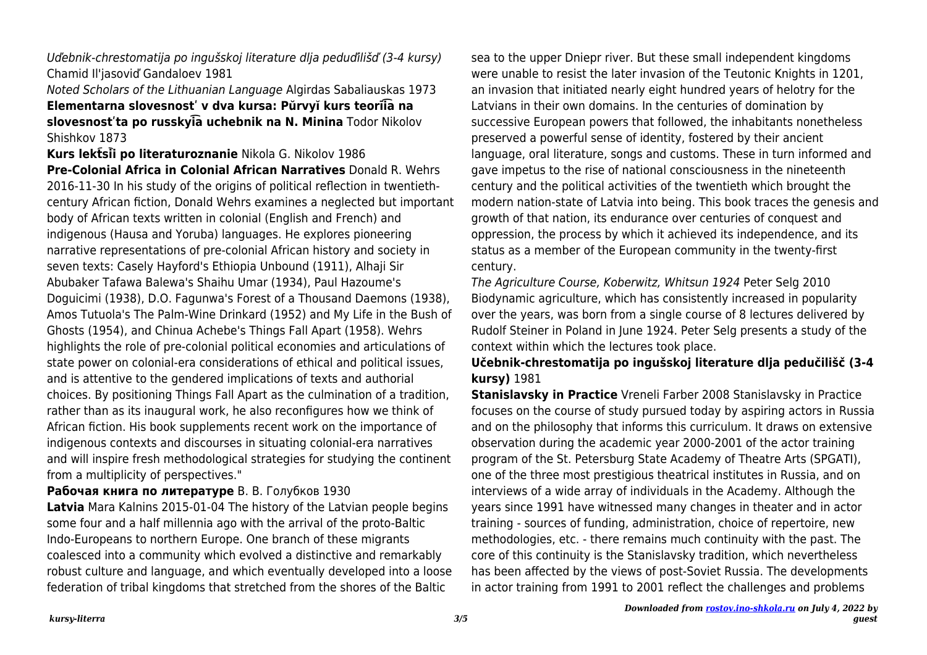Uďebnik-chrestomatija po ingušskoj literature dlja peduďilišď (3-4 kursy) Chamid Il'jasoviď Gandaloev 1981

Noted Scholars of the Lithuanian Language Algirdas Sabaliauskas 1973

**Elementarna slovesnostʹ v dva kursa: Pŭrvyĭ kurs teorīi͡a na** slovesnost'ta po russkyla uchebnik na N. Minina Todor Nikolov Shishkov 1873

**Kurs lektsii po literaturoznanie** Nikola G. Nikolov 1986 **Pre-Colonial Africa in Colonial African Narratives** Donald R. Wehrs 2016-11-30 In his study of the origins of political reflection in twentiethcentury African fiction, Donald Wehrs examines a neglected but important body of African texts written in colonial (English and French) and indigenous (Hausa and Yoruba) languages. He explores pioneering narrative representations of pre-colonial African history and society in seven texts: Casely Hayford's Ethiopia Unbound (1911), Alhaji Sir Abubaker Tafawa Balewa's Shaihu Umar (1934), Paul Hazoume's Doguicimi (1938), D.O. Fagunwa's Forest of a Thousand Daemons (1938),

Amos Tutuola's The Palm-Wine Drinkard (1952) and My Life in the Bush of Ghosts (1954), and Chinua Achebe's Things Fall Apart (1958). Wehrs highlights the role of pre-colonial political economies and articulations of state power on colonial-era considerations of ethical and political issues, and is attentive to the gendered implications of texts and authorial choices. By positioning Things Fall Apart as the culmination of a tradition, rather than as its inaugural work, he also reconfigures how we think of African fiction. His book supplements recent work on the importance of indigenous contexts and discourses in situating colonial-era narratives and will inspire fresh methodological strategies for studying the continent from a multiplicity of perspectives."

**Рабочая книга по литературе** В. В. Голубков 1930

**Latvia** Mara Kalnins 2015-01-04 The history of the Latvian people begins some four and a half millennia ago with the arrival of the proto-Baltic Indo-Europeans to northern Europe. One branch of these migrants coalesced into a community which evolved a distinctive and remarkably robust culture and language, and which eventually developed into a loose federation of tribal kingdoms that stretched from the shores of the Baltic

sea to the upper Dniepr river. But these small independent kingdoms were unable to resist the later invasion of the Teutonic Knights in 1201, an invasion that initiated nearly eight hundred years of helotry for the Latvians in their own domains. In the centuries of domination by successive European powers that followed, the inhabitants nonetheless preserved a powerful sense of identity, fostered by their ancient language, oral literature, songs and customs. These in turn informed and gave impetus to the rise of national consciousness in the nineteenth century and the political activities of the twentieth which brought the modern nation-state of Latvia into being. This book traces the genesis and growth of that nation, its endurance over centuries of conquest and oppression, the process by which it achieved its independence, and its status as a member of the European community in the twenty-first century.

The Agriculture Course, Koberwitz, Whitsun 1924 Peter Selg 2010 Biodynamic agriculture, which has consistently increased in popularity over the years, was born from a single course of 8 lectures delivered by Rudolf Steiner in Poland in June 1924. Peter Selg presents a study of the context within which the lectures took place.

**Učebnik-chrestomatija po ingušskoj literature dlja pedučilišč (3-4 kursy)** 1981

**Stanislavsky in Practice** Vreneli Farber 2008 Stanislavsky in Practice focuses on the course of study pursued today by aspiring actors in Russia and on the philosophy that informs this curriculum. It draws on extensive observation during the academic year 2000-2001 of the actor training program of the St. Petersburg State Academy of Theatre Arts (SPGATI), one of the three most prestigious theatrical institutes in Russia, and on interviews of a wide array of individuals in the Academy. Although the years since 1991 have witnessed many changes in theater and in actor training - sources of funding, administration, choice of repertoire, new methodologies, etc. - there remains much continuity with the past. The core of this continuity is the Stanislavsky tradition, which nevertheless has been affected by the views of post-Soviet Russia. The developments in actor training from 1991 to 2001 reflect the challenges and problems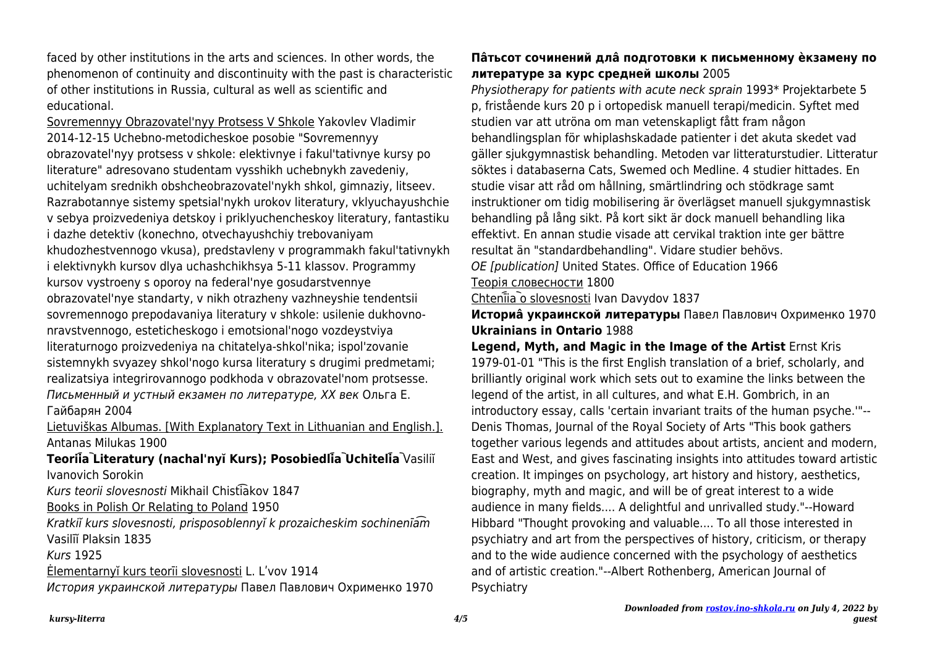faced by other institutions in the arts and sciences. In other words, the phenomenon of continuity and discontinuity with the past is characteristic of other institutions in Russia, cultural as well as scientific and educational.

Sovremennyy Obrazovatel'nyy Protsess V Shkole Yakovlev Vladimir 2014-12-15 Uchebno-metodicheskoe posobie "Sovremennyy obrazovatel'nyy protsess v shkole: elektivnye i fakul'tativnye kursy po literature" adresovano studentam vysshikh uchebnykh zavedeniy, uchitelyam srednikh obshcheobrazovatel'nykh shkol, gimnaziy, litseev. Razrabotannye sistemy spetsial'nykh urokov literatury, vklyuchayushchie v sebya proizvedeniya detskoy i priklyuchencheskoy literatury, fantastiku i dazhe detektiv (konechno, otvechayushchiy trebovaniyam khudozhestvennogo vkusa), predstavleny v programmakh fakul'tativnykh i elektivnykh kursov dlya uchashchikhsya 5-11 klassov. Programmy kursov vystroeny s oporoy na federal'nye gosudarstvennye obrazovatel'nye standarty, v nikh otrazheny vazhneyshie tendentsii sovremennogo prepodavaniya literatury v shkole: usilenie dukhovnonravstvennogo, esteticheskogo i emotsional'nogo vozdeystviya literaturnogo proizvedeniya na chitatelya-shkol'nika; ispol'zovanie sistemnykh svyazey shkol'nogo kursa literatury s drugimi predmetami; realizatsiya integrirovannogo podkhoda v obrazovatel'nom protsesse. Письменный и устный екзамен по литературе, XX век Ольга Е. Гайбарян 2004

Lietuviškas Albumas. [With Explanatory Text in Lithuanian and English.]. Antanas Milukas 1900

Teoriia Literatury (nachal'nyĭ Kurs); Posobiedlia Uchitelia Vasiliĭ Ivanovich Sorokin

Kurs teorii slovesnosti Mikhail Chisti͡akov 1847

Books in Polish Or Relating to Poland 1950

Kratkiĭ kurs slovesnosti, prisposoblennyĭ k prozaicheskim sochinenīa͡m Vasilīĭ Plaksin 1835

Kurs 1925

Ėlementarnyĭ kurs teorīi slovesnosti L. Lʹvov 1914

История украинской литературы Павел Павлович Охрименко 1970

## **Пâтьсот сочинений длâ подготовки к письменному èкзамену по литературе за курс средней школы** 2005

Physiotherapy for patients with acute neck sprain 1993\* Projektarbete 5 p, fristående kurs 20 p i ortopedisk manuell terapi/medicin. Syftet med studien var att utröna om man vetenskapligt fått fram någon behandlingsplan för whiplashskadade patienter i det akuta skedet vad gäller sjukgymnastisk behandling. Metoden var litteraturstudier. Litteratur söktes i databaserna Cats, Swemed och Medline. 4 studier hittades. En studie visar att råd om hållning, smärtlindring och stödkrage samt instruktioner om tidig mobilisering är överlägset manuell sjukgymnastisk behandling på lång sikt. På kort sikt är dock manuell behandling lika effektivt. En annan studie visade att cervikal traktion inte ger bättre resultat än "standardbehandling". Vidare studier behövs. OE [publication] United States. Office of Education 1966

Теорія словесности 1800

Chteni̇̃ia o slovesnosti Ivan Davydov 1837

**Историâ украинской литературы** Павел Павлович Охрименко 1970 **Ukrainians in Ontario** 1988

**Legend, Myth, and Magic in the Image of the Artist** Ernst Kris 1979-01-01 "This is the first English translation of a brief, scholarly, and brilliantly original work which sets out to examine the links between the legend of the artist, in all cultures, and what E.H. Gombrich, in an introductory essay, calls 'certain invariant traits of the human psyche.'"-- Denis Thomas, Journal of the Royal Society of Arts "This book gathers together various legends and attitudes about artists, ancient and modern, East and West, and gives fascinating insights into attitudes toward artistic creation. It impinges on psychology, art history and history, aesthetics, biography, myth and magic, and will be of great interest to a wide audience in many fields.... A delightful and unrivalled study."--Howard Hibbard "Thought provoking and valuable.... To all those interested in psychiatry and art from the perspectives of history, criticism, or therapy and to the wide audience concerned with the psychology of aesthetics and of artistic creation."--Albert Rothenberg, American Journal of Psychiatry